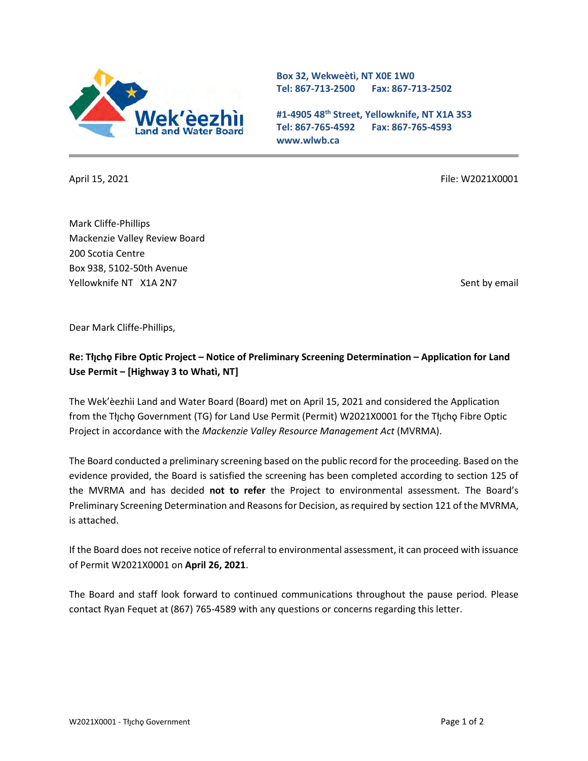

**Box 32, Wekweètì, NT X0E 1W0 Tel: 867-713-2500 Fax: 867-713-2502** 

**#1-4905 48th Street, Yellowknife, NT X1A 3S3 Tel: 867-765-4592 Fax: 867-765-4593 www.wlwb.ca**

April 15, 2021 **File: W2021X0001** File: W2021X0001

Mark Cliffe-Phillips Mackenzie Valley Review Board 200 Scotia Centre Box 938, 5102-50th Avenue Yellowknife NT X1A 2N7 Sent by email and the sent by email sent by email sent by email sent by email

Dear Mark Cliffe-Phillips,

## **Re: Tłı̨chǫ Fibre Optic Project – Notice of Preliminary Screening Determination – Application for Land Use Permit – [Highway 3 to Whatì, NT]**

The Wek'èezhìi Land and Water Board (Board) met on April 15, 2021 and considered the Application from the Tłı̯chǫ Government (TG) for Land Use Permit (Permit) W2021X0001 for the Tłı̯chǫ Fibre Optic Project in accordance with the *Mackenzie Valley Resource Management Act* (MVRMA).

The Board conducted a preliminary screening based on the public record for the proceeding. Based on the evidence provided, the Board is satisfied the screening has been completed according to section 125 of the MVRMA and has decided **not to refer** the Project to environmental assessment. The Board's Preliminary Screening Determination and Reasons for Decision, as required by section 121 of the MVRMA, is attached.

If the Board does not receive notice of referral to environmental assessment, it can proceed with issuance of Permit W2021X0001 on **April 26, 2021**.

The Board and staff look forward to continued communications throughout the pause period. Please contact Ryan Fequet at (867) 765-4589 with any questions or concerns regarding this letter.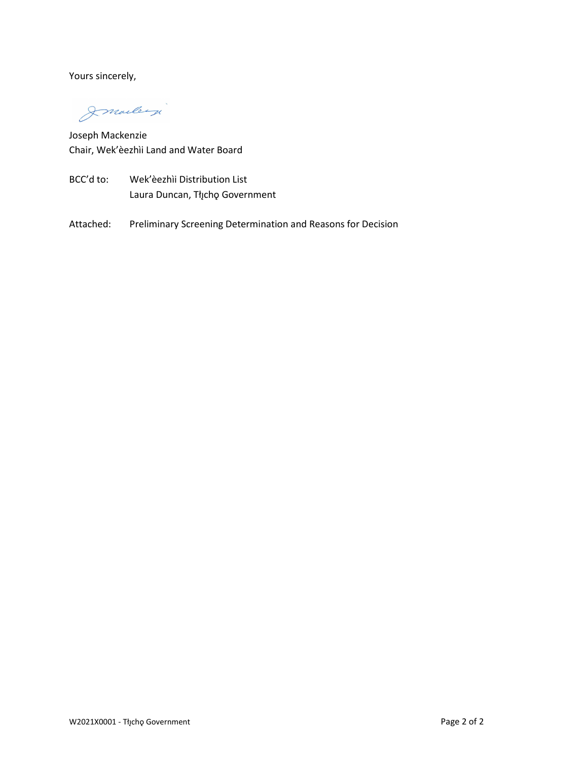Yours sincerely,

Imalley

Joseph Mackenzie Chair, Wek'èezhìi Land and Water Board

- BCC'd to: Wek'èezhìi Distribution List Laura Duncan, Tłįchę Government
- Attached: Preliminary Screening Determination and Reasons for Decision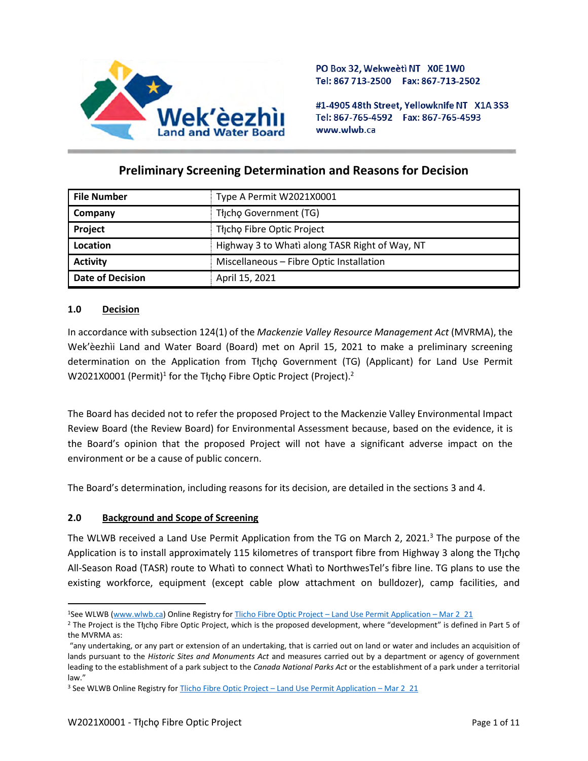

PO Box 32, Wekweeti NT X0E 1W0 Tel: 867 713-2500 Fax: 867-713-2502

#1-4905 48th Street, Yellowknife NT X1A 3S3 Tel: 867-765-4592 Fax: 867-765-4593 www.wlwb.ca

# **Preliminary Screening Determination and Reasons for Decision**

| <b>File Number</b>      | Type A Permit W2021X0001                       |
|-------------------------|------------------------------------------------|
| Company                 | Thcho Government (TG)                          |
| Project                 | Thcho Fibre Optic Project                      |
| Location                | Highway 3 to Whati along TASR Right of Way, NT |
| <b>Activity</b>         | Miscellaneous - Fibre Optic Installation       |
| <b>Date of Decision</b> | April 15, 2021                                 |

### **1.0 Decision**

In accordance with subsection 124(1) of the *Mackenzie Valley Resource Management Act* (MVRMA), the Wek'èezhìi Land and Water Board (Board) met on April 15, 2021 to make a preliminary screening determination on the Application from Tłįcho Government (TG) (Applicant) for Land Use Permit W2021X0001 (Permit) $^1$  for the Tłįchǫ Fibre Optic Project (Project). $^2$ 

The Board has decided not to refer the proposed Project to the Mackenzie Valley Environmental Impact Review Board (the Review Board) for Environmental Assessment because, based on the evidence, it is the Board's opinion that the proposed Project will not have a significant adverse impact on the environment or be a cause of public concern.

The Board's determination, including reasons for its decision, are detailed in the sections 3 and 4.

#### **2.0 Background and Scope of Screening**

The WLWB received a Land Use Permit Application from the TG on March 2, 2021.<sup>3</sup> The purpose of the Application is to install approximately 115 kilometres of transport fibre from Highway 3 along the Tłįcho All-Season Road (TASR) route to Whatì to connect Whatì to NorthwesTel's fibre line. TG plans to use the existing workforce, equipment (except cable plow attachment on bulldozer), camp facilities, and

<sup>1</sup>See WLWB [\(www.wlwb.ca\)](http://www.wlwb.ca/) Online Registry for Tlicho Fibre Optic Project – [Land Use Permit Application](http://registry.mvlwb.ca/Documents/W2021X0001/Tlicho%20Fibre%20Optic%20Project%20-%20Land%20Use%20Permit%20Application%20-%20Mar%202_21.pdf) – Mar 2\_21

<sup>&</sup>lt;sup>2</sup> The Project is the Tłįchǫ Fibre Optic Project, which is the proposed development, where "development" is defined in Part 5 of the MVRMA as:

<sup>&</sup>quot;any undertaking, or any part or extension of an undertaking, that is carried out on land or water and includes an acquisition of lands pursuant to the *Historic Sites and Monuments Act* and measures carried out by a department or agency of government leading to the establishment of a park subject to the *Canada National Parks Act* or the establishment of a park under a territorial law."

<sup>&</sup>lt;sup>3</sup> See WLWB Online Registry for Tlicho Fibre Optic Project – [Land Use Permit Application](http://registry.mvlwb.ca/Documents/W2021X0001/Tlicho%20Fibre%20Optic%20Project%20-%20Land%20Use%20Permit%20Application%20-%20Mar%202_21.pdf) – Mar 2\_21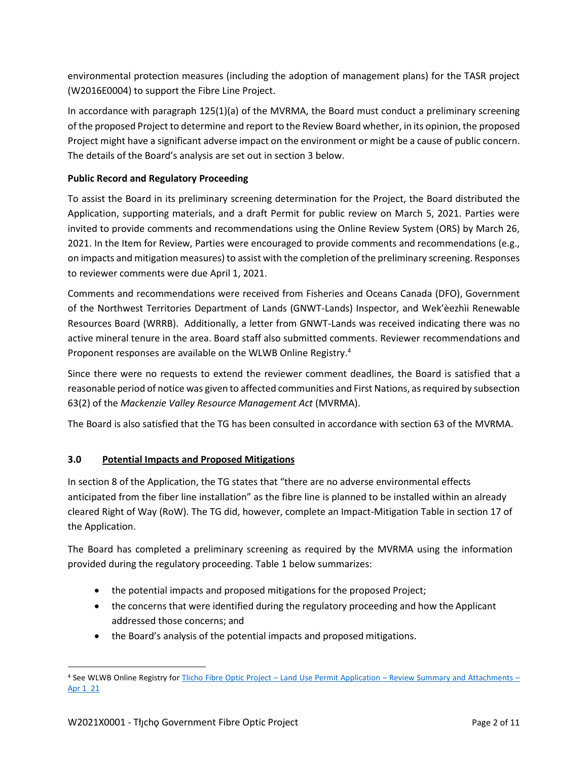environmental protection measures (including the adoption of management plans) for the TASR project (W2016E0004) to support the Fibre Line Project.

In accordance with paragraph 125(1)(a) of the MVRMA, the Board must conduct a preliminary screening of the proposed Project to determine and report to the Review Board whether, in its opinion, the proposed Project might have a significant adverse impact on the environment or might be a cause of public concern. The details of the Board's analysis are set out in section 3 below.

### **Public Record and Regulatory Proceeding**

To assist the Board in its preliminary screening determination for the Project, the Board distributed the Application, supporting materials, and a draft Permit for public review on March 5, 2021. Parties were invited to provide comments and recommendations using the Online Review System (ORS) by March 26, 2021. In the Item for Review, Parties were encouraged to provide comments and recommendations (e.g., on impacts and mitigation measures) to assist with the completion of the preliminary screening. Responses to reviewer comments were due April 1, 2021.

Comments and recommendations were received from Fisheries and Oceans Canada (DFO), Government of the Northwest Territories Department of Lands (GNWT-Lands) Inspector, and Wek'èezhìi Renewable Resources Board (WRRB). Additionally, a letter from GNWT-Lands was received indicating there was no active mineral tenure in the area. Board staff also submitted comments. Reviewer recommendations and Proponent responses are available on the WLWB Online Registry.<sup>4</sup>

Since there were no requests to extend the reviewer comment deadlines, the Board is satisfied that a reasonable period of notice was given to affected communities and First Nations, as required by subsection 63(2) of the *Mackenzie Valley Resource Management Act* (MVRMA).

The Board is also satisfied that the TG has been consulted in accordance with section 63 of the MVRMA.

### **3.0 Potential Impacts and Proposed Mitigations**

In section 8 of the Application, the TG states that "there are no adverse environmental effects anticipated from the fiber line installation" as the fibre line is planned to be installed within an already cleared Right of Way (RoW). The TG did, however, complete an Impact-Mitigation Table in section 17 of the Application.

The Board has completed a preliminary screening as required by the MVRMA using the information provided during the regulatory proceeding. Table 1 below summarizes:

- the potential impacts and proposed mitigations for the proposed Project;
- the concerns that were identified during the regulatory proceeding and how the Applicant addressed those concerns; and
- the Board's analysis of the potential impacts and proposed mitigations.

<sup>4</sup> See WLWB Online Registry for Tlicho Fibre Optic Project – Land Use Permit Application – [Review Summary and Attachments](http://registry.mvlwb.ca/Documents/W2021X0001/Tlicho%20Fibre%20Optic%20Project%20-%20Land%20Use%20Permit%20Application%20-%20Review%20Summary%20and%20Attachments%20-%20Apr%201_21.pdf) – [Apr 1\\_21](http://registry.mvlwb.ca/Documents/W2021X0001/Tlicho%20Fibre%20Optic%20Project%20-%20Land%20Use%20Permit%20Application%20-%20Review%20Summary%20and%20Attachments%20-%20Apr%201_21.pdf)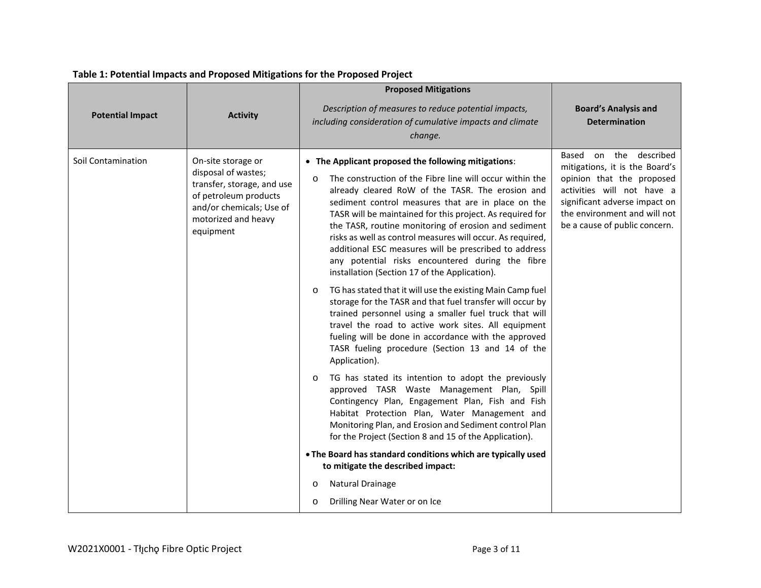| <b>Potential Impact</b> | <b>Activity</b>                                                                                                                                                  | <b>Proposed Mitigations</b><br>Description of measures to reduce potential impacts,<br>including consideration of cumulative impacts and climate<br>change.                                                                                                                                                                                                                                                                                                                                                                                                                           | <b>Board's Analysis and</b><br><b>Determination</b>                                                                                                                                                                      |
|-------------------------|------------------------------------------------------------------------------------------------------------------------------------------------------------------|---------------------------------------------------------------------------------------------------------------------------------------------------------------------------------------------------------------------------------------------------------------------------------------------------------------------------------------------------------------------------------------------------------------------------------------------------------------------------------------------------------------------------------------------------------------------------------------|--------------------------------------------------------------------------------------------------------------------------------------------------------------------------------------------------------------------------|
| Soil Contamination      | On-site storage or<br>disposal of wastes;<br>transfer, storage, and use<br>of petroleum products<br>and/or chemicals; Use of<br>motorized and heavy<br>equipment | • The Applicant proposed the following mitigations:<br>The construction of the Fibre line will occur within the<br>$\circ$<br>already cleared RoW of the TASR. The erosion and<br>sediment control measures that are in place on the<br>TASR will be maintained for this project. As required for<br>the TASR, routine monitoring of erosion and sediment<br>risks as well as control measures will occur. As required,<br>additional ESC measures will be prescribed to address<br>any potential risks encountered during the fibre<br>installation (Section 17 of the Application). | on the described<br>Based<br>mitigations, it is the Board's<br>opinion that the proposed<br>activities will not have a<br>significant adverse impact on<br>the environment and will not<br>be a cause of public concern. |
|                         |                                                                                                                                                                  | TG has stated that it will use the existing Main Camp fuel<br>$\circ$<br>storage for the TASR and that fuel transfer will occur by<br>trained personnel using a smaller fuel truck that will<br>travel the road to active work sites. All equipment<br>fueling will be done in accordance with the approved<br>TASR fueling procedure (Section 13 and 14 of the<br>Application).                                                                                                                                                                                                      |                                                                                                                                                                                                                          |
|                         |                                                                                                                                                                  | TG has stated its intention to adopt the previously<br>$\circ$<br>approved TASR Waste Management Plan, Spill<br>Contingency Plan, Engagement Plan, Fish and Fish<br>Habitat Protection Plan, Water Management and<br>Monitoring Plan, and Erosion and Sediment control Plan<br>for the Project (Section 8 and 15 of the Application).                                                                                                                                                                                                                                                 |                                                                                                                                                                                                                          |
|                         |                                                                                                                                                                  | . The Board has standard conditions which are typically used<br>to mitigate the described impact:                                                                                                                                                                                                                                                                                                                                                                                                                                                                                     |                                                                                                                                                                                                                          |
|                         |                                                                                                                                                                  | Natural Drainage<br>$\circ$                                                                                                                                                                                                                                                                                                                                                                                                                                                                                                                                                           |                                                                                                                                                                                                                          |
|                         |                                                                                                                                                                  | Drilling Near Water or on Ice<br>$\circ$                                                                                                                                                                                                                                                                                                                                                                                                                                                                                                                                              |                                                                                                                                                                                                                          |

## **Table 1: Potential Impacts and Proposed Mitigations for the Proposed Project**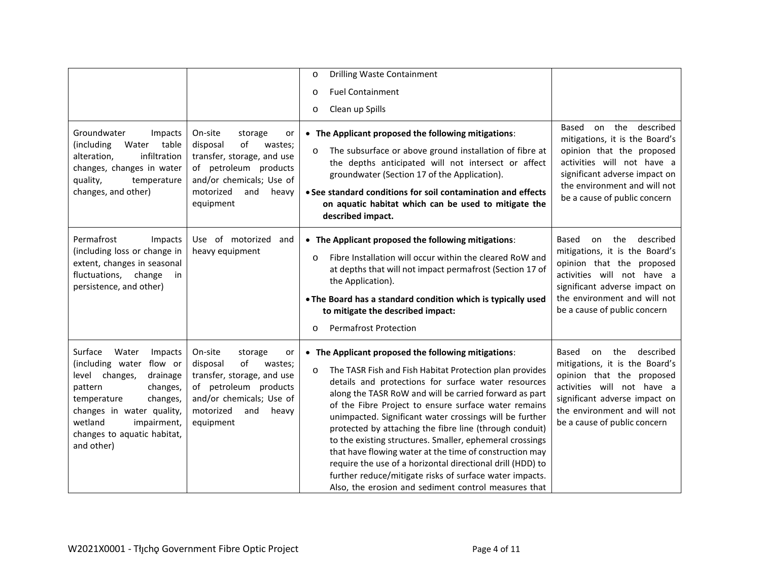|                                                                                                                                                                                                                                             |                                                                                                                                                                                    | Drilling Waste Containment<br>$\circ$                                                                                                                                                                                                                                                                                                                                                                                                                                                                                                                                                                                                                                                                                            |                                                                                                                                                                                                                                      |
|---------------------------------------------------------------------------------------------------------------------------------------------------------------------------------------------------------------------------------------------|------------------------------------------------------------------------------------------------------------------------------------------------------------------------------------|----------------------------------------------------------------------------------------------------------------------------------------------------------------------------------------------------------------------------------------------------------------------------------------------------------------------------------------------------------------------------------------------------------------------------------------------------------------------------------------------------------------------------------------------------------------------------------------------------------------------------------------------------------------------------------------------------------------------------------|--------------------------------------------------------------------------------------------------------------------------------------------------------------------------------------------------------------------------------------|
|                                                                                                                                                                                                                                             |                                                                                                                                                                                    | <b>Fuel Containment</b>                                                                                                                                                                                                                                                                                                                                                                                                                                                                                                                                                                                                                                                                                                          |                                                                                                                                                                                                                                      |
|                                                                                                                                                                                                                                             |                                                                                                                                                                                    | $\circ$                                                                                                                                                                                                                                                                                                                                                                                                                                                                                                                                                                                                                                                                                                                          |                                                                                                                                                                                                                                      |
|                                                                                                                                                                                                                                             |                                                                                                                                                                                    | Clean up Spills<br>$\circ$                                                                                                                                                                                                                                                                                                                                                                                                                                                                                                                                                                                                                                                                                                       |                                                                                                                                                                                                                                      |
| Groundwater<br>Impacts<br>(including<br>Water<br>table<br>infiltration<br>alteration,<br>changes, changes in water<br>quality,<br>temperature<br>changes, and other)                                                                        | On-site<br>storage<br>or<br>of<br>disposal<br>wastes;<br>transfer, storage, and use<br>of petroleum products<br>and/or chemicals; Use of<br>motorized<br>and<br>heavy<br>equipment | • The Applicant proposed the following mitigations:<br>The subsurface or above ground installation of fibre at<br>$\circ$<br>the depths anticipated will not intersect or affect<br>groundwater (Section 17 of the Application).<br>• See standard conditions for soil contamination and effects<br>on aquatic habitat which can be used to mitigate the<br>described impact.                                                                                                                                                                                                                                                                                                                                                    | the described<br>Based<br>on<br>mitigations, it is the Board's<br>opinion that the proposed<br>activities will not have a<br>significant adverse impact on<br>the environment and will not<br>be a cause of public concern           |
| Permafrost<br>Impacts<br>(including loss or change in<br>extent, changes in seasonal<br>fluctuations, change<br>in<br>persistence, and other)                                                                                               | Use of motorized<br>and<br>heavy equipment                                                                                                                                         | • The Applicant proposed the following mitigations:<br>Fibre Installation will occur within the cleared RoW and<br>$\circ$<br>at depths that will not impact permafrost (Section 17 of<br>the Application).<br>• The Board has a standard condition which is typically used<br>to mitigate the described impact:<br><b>Permafrost Protection</b><br>$\circ$                                                                                                                                                                                                                                                                                                                                                                      | the<br>described<br>Based<br>on<br>mitigations, it is the Board's<br>opinion that the proposed<br>activities will not have a<br>significant adverse impact on<br>the environment and will not<br>be a cause of public concern        |
| Surface<br>Water<br>Impacts<br>(including water flow or<br>level changes,<br>drainage<br>pattern<br>changes,<br>temperature<br>changes,<br>changes in water quality,<br>wetland<br>impairment,<br>changes to aquatic habitat,<br>and other) | On-site<br>storage<br>or<br>of<br>disposal<br>wastes;<br>transfer, storage, and use<br>of petroleum products<br>and/or chemicals; Use of<br>motorized<br>and<br>heavy<br>equipment | • The Applicant proposed the following mitigations:<br>The TASR Fish and Fish Habitat Protection plan provides<br>$\circ$<br>details and protections for surface water resources<br>along the TASR RoW and will be carried forward as part<br>of the Fibre Project to ensure surface water remains<br>unimpacted. Significant water crossings will be further<br>protected by attaching the fibre line (through conduit)<br>to the existing structures. Smaller, ephemeral crossings<br>that have flowing water at the time of construction may<br>require the use of a horizontal directional drill (HDD) to<br>further reduce/mitigate risks of surface water impacts.<br>Also, the erosion and sediment control measures that | described<br><b>Based</b><br>the<br>on<br>mitigations, it is the Board's<br>opinion that the proposed<br>activities will not have a<br>significant adverse impact on<br>the environment and will not<br>be a cause of public concern |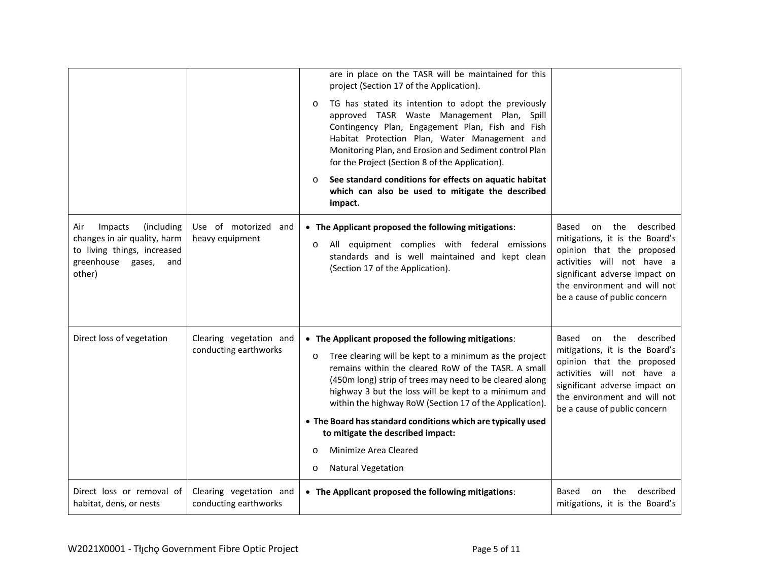|                                                                                                                                   |                                                  | are in place on the TASR will be maintained for this<br>project (Section 17 of the Application).<br>TG has stated its intention to adopt the previously<br>$\circ$<br>approved TASR Waste Management Plan, Spill<br>Contingency Plan, Engagement Plan, Fish and Fish<br>Habitat Protection Plan, Water Management and<br>Monitoring Plan, and Erosion and Sediment control Plan<br>for the Project (Section 8 of the Application).<br>See standard conditions for effects on aquatic habitat<br>$\circ$<br>which can also be used to mitigate the described<br>impact. |                                                                                                                                                                                                                         |
|-----------------------------------------------------------------------------------------------------------------------------------|--------------------------------------------------|------------------------------------------------------------------------------------------------------------------------------------------------------------------------------------------------------------------------------------------------------------------------------------------------------------------------------------------------------------------------------------------------------------------------------------------------------------------------------------------------------------------------------------------------------------------------|-------------------------------------------------------------------------------------------------------------------------------------------------------------------------------------------------------------------------|
| (including<br>Impacts<br>Air<br>changes in air quality, harm<br>to living things, increased<br>greenhouse gases,<br>and<br>other) | Use of motorized and<br>heavy equipment          | • The Applicant proposed the following mitigations:<br>All equipment complies with federal emissions<br>$\circ$<br>standards and is well maintained and kept clean<br>(Section 17 of the Application).                                                                                                                                                                                                                                                                                                                                                                 | on the described<br>Based<br>mitigations, it is the Board's<br>opinion that the proposed<br>activities will not have a<br>significant adverse impact on<br>the environment and will not<br>be a cause of public concern |
| Direct loss of vegetation                                                                                                         | Clearing vegetation and<br>conducting earthworks | • The Applicant proposed the following mitigations:<br>Tree clearing will be kept to a minimum as the project<br>O<br>remains within the cleared RoW of the TASR. A small<br>(450m long) strip of trees may need to be cleared along<br>highway 3 but the loss will be kept to a minimum and<br>within the highway RoW (Section 17 of the Application).<br>• The Board has standard conditions which are typically used<br>to mitigate the described impact:<br>Minimize Area Cleared<br>$\circ$<br><b>Natural Vegetation</b><br>$\circ$                               | on the described<br>Based<br>mitigations, it is the Board's<br>opinion that the proposed<br>activities will not have a<br>significant adverse impact on<br>the environment and will not<br>be a cause of public concern |
| Direct loss or removal of<br>habitat, dens, or nests                                                                              | Clearing vegetation and<br>conducting earthworks | • The Applicant proposed the following mitigations:                                                                                                                                                                                                                                                                                                                                                                                                                                                                                                                    | the described<br>Based<br>on<br>mitigations, it is the Board's                                                                                                                                                          |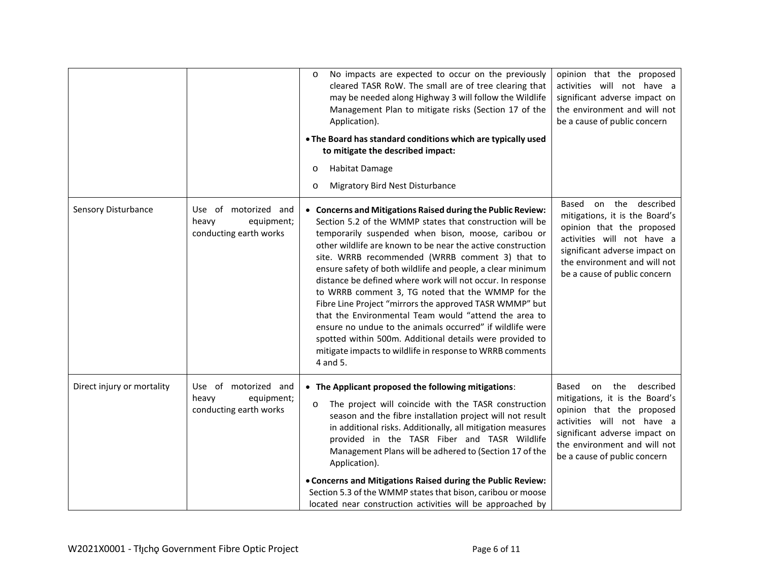|                            |                                                                       | No impacts are expected to occur on the previously<br>$\circ$<br>cleared TASR RoW. The small are of tree clearing that<br>may be needed along Highway 3 will follow the Wildlife<br>Management Plan to mitigate risks (Section 17 of the<br>Application).<br>. The Board has standard conditions which are typically used<br>to mitigate the described impact:<br>Habitat Damage<br>O<br>Migratory Bird Nest Disturbance<br>$\circ$                                                                                                                                                                                                                                                                                                                                                                     | opinion that the proposed<br>activities will not have a<br>significant adverse impact on<br>the environment and will not<br>be a cause of public concern                                                                      |
|----------------------------|-----------------------------------------------------------------------|---------------------------------------------------------------------------------------------------------------------------------------------------------------------------------------------------------------------------------------------------------------------------------------------------------------------------------------------------------------------------------------------------------------------------------------------------------------------------------------------------------------------------------------------------------------------------------------------------------------------------------------------------------------------------------------------------------------------------------------------------------------------------------------------------------|-------------------------------------------------------------------------------------------------------------------------------------------------------------------------------------------------------------------------------|
| Sensory Disturbance        | Use of motorized and<br>heavy<br>equipment;<br>conducting earth works | • Concerns and Mitigations Raised during the Public Review:<br>Section 5.2 of the WMMP states that construction will be<br>temporarily suspended when bison, moose, caribou or<br>other wildlife are known to be near the active construction<br>site. WRRB recommended (WRRB comment 3) that to<br>ensure safety of both wildlife and people, a clear minimum<br>distance be defined where work will not occur. In response<br>to WRRB comment 3, TG noted that the WMMP for the<br>Fibre Line Project "mirrors the approved TASR WMMP" but<br>that the Environmental Team would "attend the area to<br>ensure no undue to the animals occurred" if wildlife were<br>spotted within 500m. Additional details were provided to<br>mitigate impacts to wildlife in response to WRRB comments<br>4 and 5. | Based on the described<br>mitigations, it is the Board's<br>opinion that the proposed<br>activities will not have a<br>significant adverse impact on<br>the environment and will not<br>be a cause of public concern          |
| Direct injury or mortality | Use of motorized and<br>heavy<br>equipment;<br>conducting earth works | • The Applicant proposed the following mitigations:<br>The project will coincide with the TASR construction<br>$\circ$<br>season and the fibre installation project will not result<br>in additional risks. Additionally, all mitigation measures<br>provided in the TASR Fiber and TASR Wildlife<br>Management Plans will be adhered to (Section 17 of the<br>Application).<br>. Concerns and Mitigations Raised during the Public Review:<br>Section 5.3 of the WMMP states that bison, caribou or moose<br>located near construction activities will be approached by                                                                                                                                                                                                                                | Based<br>the<br>described<br>on<br>mitigations, it is the Board's<br>opinion that the proposed<br>activities will not have a<br>significant adverse impact on<br>the environment and will not<br>be a cause of public concern |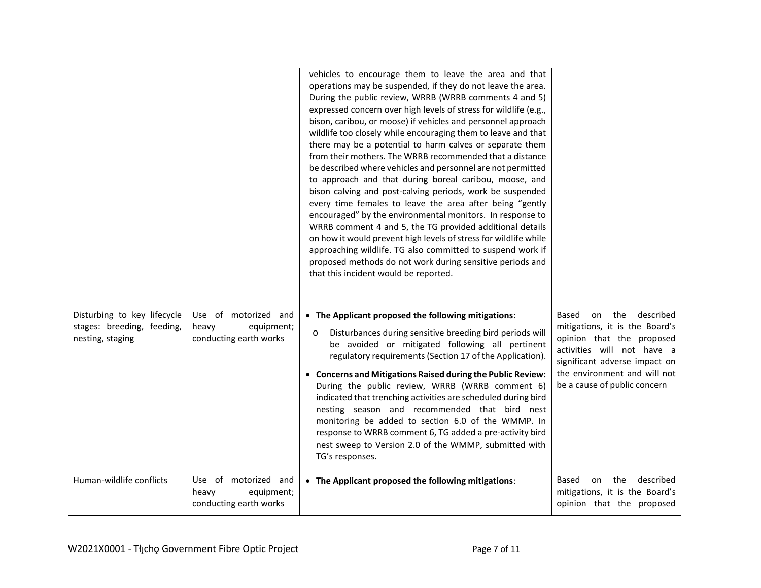|                                                                               |                                                                       | vehicles to encourage them to leave the area and that<br>operations may be suspended, if they do not leave the area.<br>During the public review, WRRB (WRRB comments 4 and 5)<br>expressed concern over high levels of stress for wildlife (e.g.,<br>bison, caribou, or moose) if vehicles and personnel approach<br>wildlife too closely while encouraging them to leave and that<br>there may be a potential to harm calves or separate them<br>from their mothers. The WRRB recommended that a distance<br>be described where vehicles and personnel are not permitted<br>to approach and that during boreal caribou, moose, and<br>bison calving and post-calving periods, work be suspended<br>every time females to leave the area after being "gently<br>encouraged" by the environmental monitors. In response to<br>WRRB comment 4 and 5, the TG provided additional details<br>on how it would prevent high levels of stress for wildlife while<br>approaching wildlife. TG also committed to suspend work if<br>proposed methods do not work during sensitive periods and<br>that this incident would be reported. |                                                                                                                                                                                                                               |
|-------------------------------------------------------------------------------|-----------------------------------------------------------------------|--------------------------------------------------------------------------------------------------------------------------------------------------------------------------------------------------------------------------------------------------------------------------------------------------------------------------------------------------------------------------------------------------------------------------------------------------------------------------------------------------------------------------------------------------------------------------------------------------------------------------------------------------------------------------------------------------------------------------------------------------------------------------------------------------------------------------------------------------------------------------------------------------------------------------------------------------------------------------------------------------------------------------------------------------------------------------------------------------------------------------------|-------------------------------------------------------------------------------------------------------------------------------------------------------------------------------------------------------------------------------|
| Disturbing to key lifecycle<br>stages: breeding, feeding,<br>nesting, staging | Use of motorized and<br>heavy<br>equipment;<br>conducting earth works | • The Applicant proposed the following mitigations:<br>Disturbances during sensitive breeding bird periods will<br>O<br>be avoided or mitigated following all pertinent<br>regulatory requirements (Section 17 of the Application).<br>• Concerns and Mitigations Raised during the Public Review:<br>During the public review, WRRB (WRRB comment 6)<br>indicated that trenching activities are scheduled during bird<br>nesting season and recommended that bird nest<br>monitoring be added to section 6.0 of the WMMP. In<br>response to WRRB comment 6, TG added a pre-activity bird<br>nest sweep to Version 2.0 of the WMMP, submitted with<br>TG's responses.                                                                                                                                                                                                                                                                                                                                                                                                                                                          | described<br>the<br>Based<br>on<br>mitigations, it is the Board's<br>opinion that the proposed<br>activities will not have a<br>significant adverse impact on<br>the environment and will not<br>be a cause of public concern |
| Human-wildlife conflicts                                                      | Use of motorized and<br>heavy<br>equipment;<br>conducting earth works | • The Applicant proposed the following mitigations:                                                                                                                                                                                                                                                                                                                                                                                                                                                                                                                                                                                                                                                                                                                                                                                                                                                                                                                                                                                                                                                                            | the<br>described<br>Based<br>on<br>mitigations, it is the Board's<br>opinion that the proposed                                                                                                                                |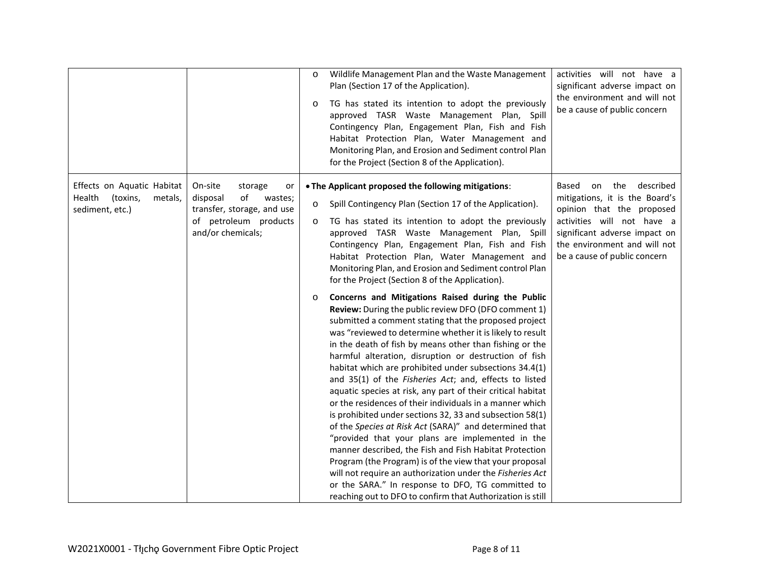|                                                                                |                                                                                                                                   | Wildlife Management Plan and the Waste Management<br>$\circ$<br>Plan (Section 17 of the Application).<br>TG has stated its intention to adopt the previously<br>$\circ$<br>approved TASR Waste Management Plan,<br>Spill<br>Contingency Plan, Engagement Plan, Fish and Fish<br>Habitat Protection Plan, Water Management and<br>Monitoring Plan, and Erosion and Sediment control Plan<br>for the Project (Section 8 of the Application).                                                                                                                                                                                                                                                                                                                                                                                                                                                                                                                                                                                                                                                                                                                                                                                                                                                                                                                                                                                                                                                                                                                  | activities will not have a<br>significant adverse impact on<br>the environment and will not<br>be a cause of public concern                                                                                                   |
|--------------------------------------------------------------------------------|-----------------------------------------------------------------------------------------------------------------------------------|-------------------------------------------------------------------------------------------------------------------------------------------------------------------------------------------------------------------------------------------------------------------------------------------------------------------------------------------------------------------------------------------------------------------------------------------------------------------------------------------------------------------------------------------------------------------------------------------------------------------------------------------------------------------------------------------------------------------------------------------------------------------------------------------------------------------------------------------------------------------------------------------------------------------------------------------------------------------------------------------------------------------------------------------------------------------------------------------------------------------------------------------------------------------------------------------------------------------------------------------------------------------------------------------------------------------------------------------------------------------------------------------------------------------------------------------------------------------------------------------------------------------------------------------------------------|-------------------------------------------------------------------------------------------------------------------------------------------------------------------------------------------------------------------------------|
| Effects on Aquatic Habitat<br>Health<br>(toxins,<br>metals,<br>sediment, etc.) | On-site<br>storage<br>or<br>of<br>disposal<br>wastes;<br>transfer, storage, and use<br>of petroleum products<br>and/or chemicals; | . The Applicant proposed the following mitigations:<br>Spill Contingency Plan (Section 17 of the Application).<br>$\circ$<br>TG has stated its intention to adopt the previously<br>$\circ$<br>approved TASR Waste Management Plan, Spill<br>Contingency Plan, Engagement Plan, Fish and Fish<br>Habitat Protection Plan, Water Management and<br>Monitoring Plan, and Erosion and Sediment control Plan<br>for the Project (Section 8 of the Application).<br>Concerns and Mitigations Raised during the Public<br>$\circ$<br>Review: During the public review DFO (DFO comment 1)<br>submitted a comment stating that the proposed project<br>was "reviewed to determine whether it is likely to result<br>in the death of fish by means other than fishing or the<br>harmful alteration, disruption or destruction of fish<br>habitat which are prohibited under subsections 34.4(1)<br>and 35(1) of the Fisheries Act; and, effects to listed<br>aquatic species at risk, any part of their critical habitat<br>or the residences of their individuals in a manner which<br>is prohibited under sections 32, 33 and subsection 58(1)<br>of the Species at Risk Act (SARA)" and determined that<br>"provided that your plans are implemented in the<br>manner described, the Fish and Fish Habitat Protection<br>Program (the Program) is of the view that your proposal<br>will not require an authorization under the Fisheries Act<br>or the SARA." In response to DFO, TG committed to<br>reaching out to DFO to confirm that Authorization is still | the<br>described<br>Based<br>on<br>mitigations, it is the Board's<br>opinion that the proposed<br>activities will not have a<br>significant adverse impact on<br>the environment and will not<br>be a cause of public concern |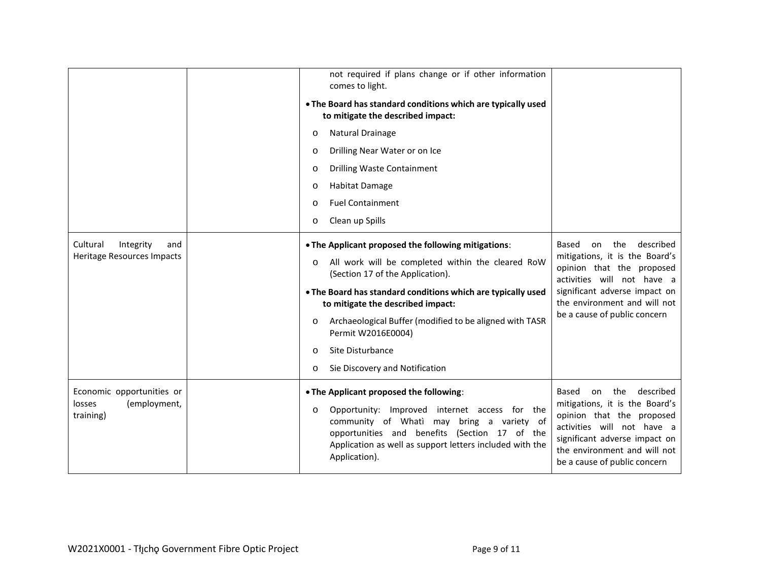|                                                                  | not required if plans change or if other information<br>comes to light.<br>. The Board has standard conditions which are typically used<br>to mitigate the described impact:<br>Natural Drainage<br>O<br>Drilling Near Water or on Ice<br>$\circ$<br><b>Drilling Waste Containment</b><br>$\circ$<br><b>Habitat Damage</b><br>$\circ$<br><b>Fuel Containment</b><br>$\circ$<br>Clean up Spills<br>$\circ$                            |                                                                                                                                                                                                                                |
|------------------------------------------------------------------|--------------------------------------------------------------------------------------------------------------------------------------------------------------------------------------------------------------------------------------------------------------------------------------------------------------------------------------------------------------------------------------------------------------------------------------|--------------------------------------------------------------------------------------------------------------------------------------------------------------------------------------------------------------------------------|
| Cultural<br>Integrity<br>and<br>Heritage Resources Impacts       | . The Applicant proposed the following mitigations:<br>All work will be completed within the cleared RoW<br>$\circ$<br>(Section 17 of the Application).<br>. The Board has standard conditions which are typically used<br>to mitigate the described impact:<br>Archaeological Buffer (modified to be aligned with TASR<br>$\circ$<br>Permit W2016E0004)<br>Site Disturbance<br>$\circ$<br>Sie Discovery and Notification<br>$\circ$ | the<br>described<br>Based<br>on<br>mitigations, it is the Board's<br>opinion that the proposed<br>activities will not have a<br>significant adverse impact on<br>the environment and will not<br>be a cause of public concern  |
| Economic opportunities or<br>(employment,<br>losses<br>training) | . The Applicant proposed the following:<br>Opportunity: Improved internet access for the<br>$\circ$<br>community of Whati may bring a variety of<br>opportunities and benefits (Section 17 of the<br>Application as well as support letters included with the<br>Application).                                                                                                                                                       | the<br>described<br>Based<br>on.<br>mitigations, it is the Board's<br>opinion that the proposed<br>activities will not have a<br>significant adverse impact on<br>the environment and will not<br>be a cause of public concern |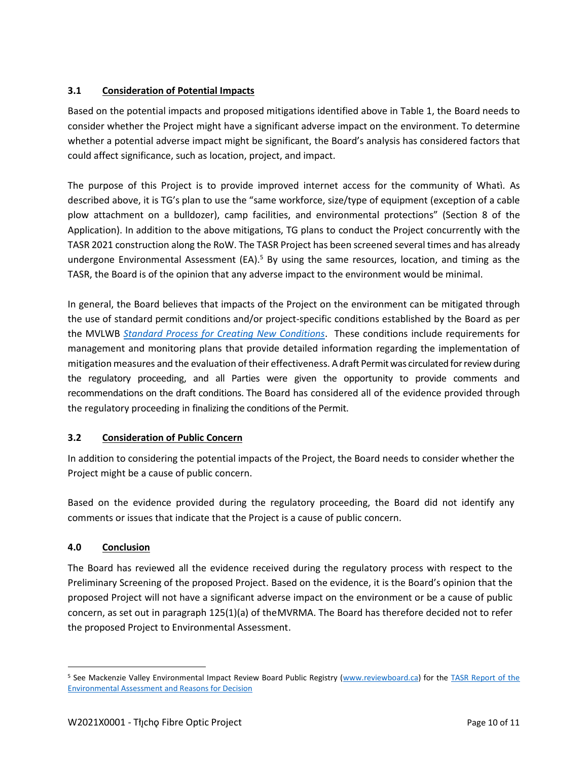### **3.1 Consideration of Potential Impacts**

Based on the potential impacts and proposed mitigations identified above in Table 1, the Board needs to consider whether the Project might have a significant adverse impact on the environment. To determine whether a potential adverse impact might be significant, the Board's analysis has considered factors that could affect significance, such as location, project, and impact.

The purpose of this Project is to provide improved internet access for the community of Whatì. As described above, it is TG's plan to use the "same workforce, size/type of equipment (exception of a cable plow attachment on a bulldozer), camp facilities, and environmental protections" (Section 8 of the Application). In addition to the above mitigations, TG plans to conduct the Project concurrently with the TASR 2021 construction along the RoW. The TASR Project has been screened several times and has already undergone Environmental Assessment  $(EA)^5$  By using the same resources, location, and timing as the TASR, the Board is of the opinion that any adverse impact to the environment would be minimal.

In general, the Board believes that impacts of the Project on the environment can be mitigated through the use of standard permit conditions and/or project-specific conditions established by the Board as per the MVLWB *[Standard Process for Creating New Conditions](https://mvlwb.com/sites/default/files/documents/wg/MVLWB%20Standard%20Process%20for%20New%20Conditions%20-%20Jun%201_13.pdf)*. These conditions include requirements for management and monitoring plans that provide detailed information regarding the implementation of mitigation measures and the evaluation of their effectiveness. A draft Permit was circulated for review during the regulatory proceeding, and all Parties were given the opportunity to provide comments and recommendations on the draft conditions. The Board has considered all of the evidence provided through the regulatory proceeding in finalizing the conditions of the Permit.

## **3.2 Consideration of Public Concern**

In addition to considering the potential impacts of the Project, the Board needs to consider whether the Project might be a cause of public concern.

Based on the evidence provided during the regulatory proceeding, the Board did not identify any comments or issues that indicate that the Project is a cause of public concern.

## **4.0 Conclusion**

The Board has reviewed all the evidence received during the regulatory process with respect to the Preliminary Screening of the proposed Project. Based on the evidence, it is the Board's opinion that the proposed Project will not have a significant adverse impact on the environment or be a cause of public concern, as set out in paragraph 125(1)(a) of theMVRMA. The Board has therefore decided not to refer the proposed Project to Environmental Assessment.

<sup>5</sup> See Mackenzie Valley Environmental Impact Review Board Public Registry [\(www.reviewboard.ca\)](http://www.reviewboard.ca/) for the [TASR Report of the](https://reviewboard.ca/upload/project_document/Final%20TASR%20REA%20April%2003.pdf)  [Environmental Assessment and Reasons for Decision](https://reviewboard.ca/upload/project_document/Final%20TASR%20REA%20April%2003.pdf)